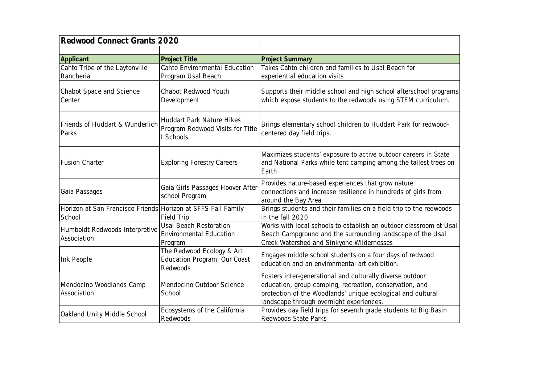| Redwood Connect Grants 2020                                            |                                                                                   |                                                                                                                                                                                                                                 |
|------------------------------------------------------------------------|-----------------------------------------------------------------------------------|---------------------------------------------------------------------------------------------------------------------------------------------------------------------------------------------------------------------------------|
|                                                                        |                                                                                   |                                                                                                                                                                                                                                 |
| Applicant                                                              | Project Title                                                                     | <b>Project Summary</b>                                                                                                                                                                                                          |
| Cahto Tribe of the Laytonville                                         | Cahto Environmental Education                                                     | Takes Cahto children and families to Usal Beach for                                                                                                                                                                             |
| Rancheria                                                              | Program Usal Beach                                                                | experiential education visits                                                                                                                                                                                                   |
| Chabot Space and Science<br>Center                                     | Chabot Redwood Youth<br>Development                                               | Supports their middle school and high school afterschool programs<br>which expose students to the redwoods using STEM curriculum.                                                                                               |
| Friends of Huddart & Wunderlich<br>Parks                               | <b>Huddart Park Nature Hikes</b><br>Program Redwood Visits for Title<br>I Schools | Brings elementary school children to Huddart Park for redwood-<br>centered day field trips.                                                                                                                                     |
| <b>Fusion Charter</b>                                                  | <b>Exploring Forestry Careers</b>                                                 | Maximizes students' exposure to active outdoor careers in State<br>and National Parks while tent camping among the tallest trees on<br>Earth                                                                                    |
| Gaia Passages                                                          | Gaia Girls Passages Hoover After<br>school Program                                | Provides nature-based experiences that grow nature<br>connections and increase resilience in hundreds of girls from<br>around the Bay Area                                                                                      |
| Horizon at San Francisco Friends Horizon at SFFS Fall Family<br>School | Field Trip                                                                        | Brings students and their families on a field trip to the redwoods<br>in the fall 2020                                                                                                                                          |
| Humboldt Redwoods Interpretive<br>Association                          | Usal Beach Restoration<br><b>Environmental Education</b><br>Program               | Works with local schools to establish an outdoor classroom at Usal<br>Beach Campground and the surrounding landscape of the Usal<br>Creek Watershed and Sinkyone Wildernesses                                                   |
| Ink People                                                             | The Redwood Ecology & Art<br>Education Program: Our Coast<br>Redwoods             | Engages middle school students on a four days of redwood<br>education and an environmental art exhibition.                                                                                                                      |
| Mendocino Woodlands Camp<br>Association                                | Mendocino Outdoor Science<br>School                                               | Fosters inter-generational and culturally diverse outdoor<br>education, group camping, recreation, conservation, and<br>protection of the Woodlands' unique ecological and cultural<br>landscape through overnight experiences. |
| Oakland Unity Middle School                                            | Ecosystems of the California<br>Redwoods                                          | Provides day field trips for seventh grade students to Big Basin<br>Redwoods State Parks                                                                                                                                        |